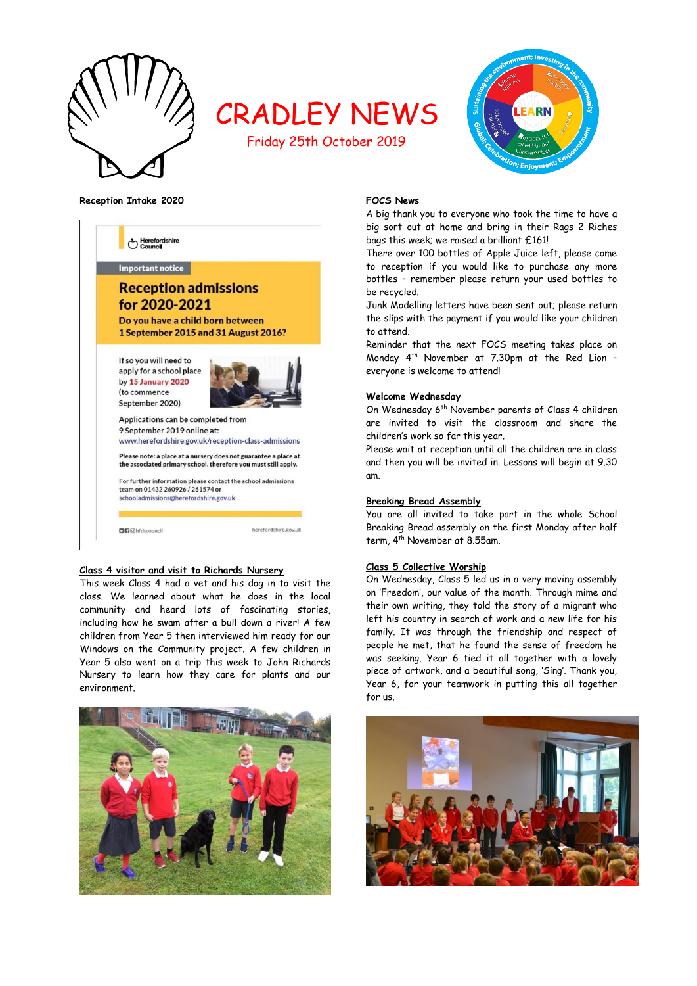

# CRADLEY NEWS

Friday 25th October 2019



**Reception Intake 2020**



# **Class 4 visitor and visit to Richards Nursery**

This week Class 4 had a vet and his dog in to visit the class. We learned about what he does in the local community and heard lots of fascinating stories, including how he swam after a bull down a river! A few children from Year 5 then interviewed him ready for our Windows on the Community project. A few children in Year 5 also went on a trip this week to John Richards Nursery to learn how they care for plants and our environment.



# **FOCS News**

A big thank you to everyone who took the time to have a big sort out at home and bring in their Rags 2 Riches bags this week; we raised a brilliant £161!

There over 100 bottles of Apple Juice left, please come to reception if you would like to purchase any more bottles – remember please return your used bottles to be recycled.

Junk Modelling letters have been sent out; please return the slips with the payment if you would like your children to attend.

Reminder that the next FOCS meeting takes place on Monday 4 th November at 7.30pm at the Red Lion – everyone is welcome to attend!

#### **Welcome Wednesday**

On Wednesday 6<sup>th</sup> November parents of Class 4 children are invited to visit the classroom and share the children's work so far this year.

Please wait at reception until all the children are in class and then you will be invited in. Lessons will begin at 9.30 am.

#### **Breaking Bread Assembly**

You are all invited to take part in the whole School Breaking Bread assembly on the first Monday after half term, 4<sup>th</sup> November at 8.55am.

# **Class 5 Collective Worship**

On Wednesday, Class 5 led us in a very moving assembly on 'Freedom', our value of the month. Through mime and their own writing, they told the story of a migrant who left his country in search of work and a new life for his family. It was through the friendship and respect of people he met, that he found the sense of freedom he was seeking. Year 6 tied it all together with a lovely piece of artwork, and a beautiful song, 'Sing'. Thank you, Year 6, for your teamwork in putting this all together for us.

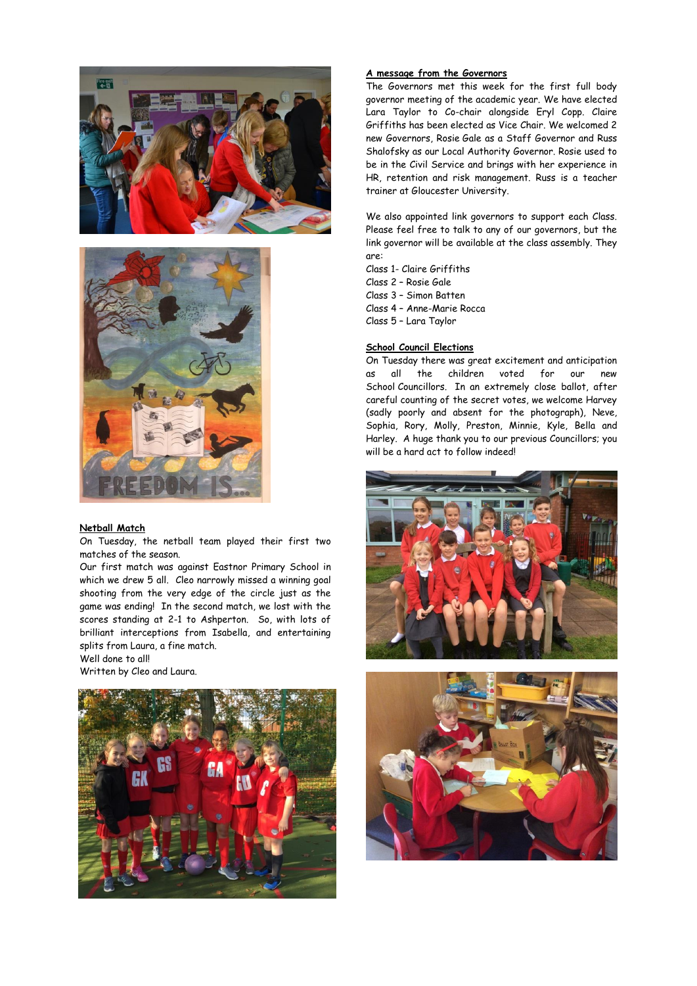



#### **Netball Match**

On Tuesday, the netball team played their first two matches of the season.

Our first match was against Eastnor Primary School in which we drew 5 all. Cleo narrowly missed a winning goal shooting from the very edge of the circle just as the game was ending! In the second match, we lost with the scores standing at 2-1 to Ashperton. So, with lots of brilliant interceptions from Isabella, and entertaining splits from Laura, a fine match.

Well done to all! Written by Cleo and Laura.



## **A message from the Governors**

The Governors met this week for the first full body governor meeting of the academic year. We have elected Lara Taylor to Co-chair alongside Eryl Copp. Claire Griffiths has been elected as Vice Chair. We welcomed 2 new Governors, Rosie Gale as a Staff Governor and Russ Shalofsky as our Local Authority Governor. Rosie used to be in the Civil Service and brings with her experience in HR, retention and risk management. Russ is a teacher trainer at Gloucester University.

We also appointed link governors to support each Class. Please feel free to talk to any of our governors, but the link governor will be available at the class assembly. They are:

Class 1- Claire Griffiths

Class 2 – Rosie Gale

Class 3 – Simon Batten

Class 4 – Anne-Marie Rocca

Class 5 – Lara Taylor

# **School Council Elections**

On Tuesday there was great excitement and anticipation as all the children voted for our new School Councillors. In an extremely close ballot, after careful counting of the secret votes, we welcome Harvey (sadly poorly and absent for the photograph), Neve, Sophia, Rory, Molly, Preston, Minnie, Kyle, Bella and Harley. A huge thank you to our previous Councillors; you will be a hard act to follow indeed!



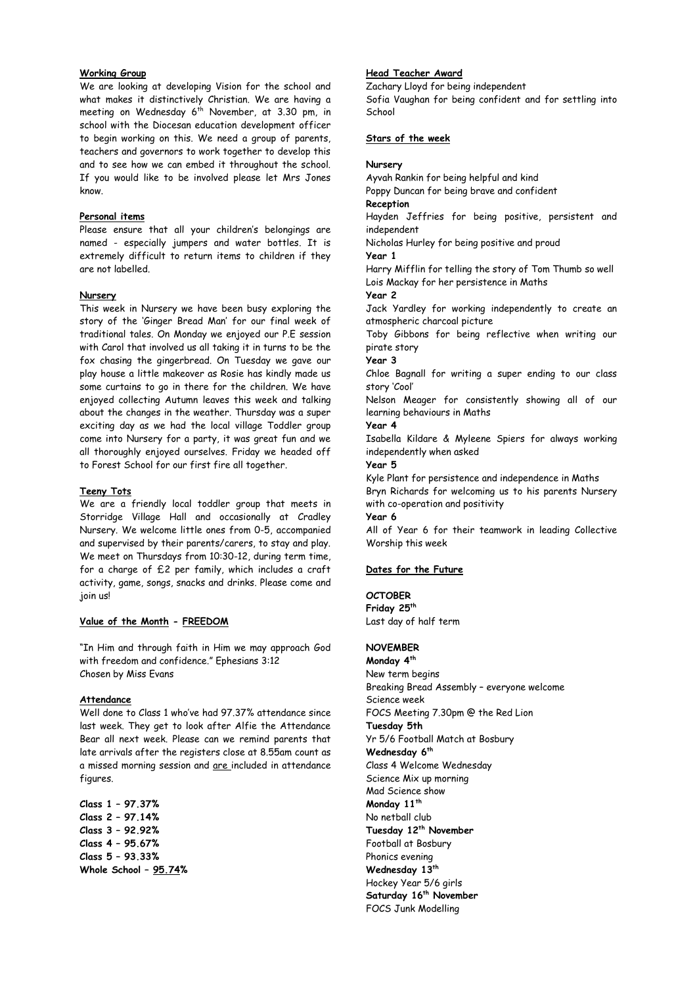# **Working Group**

We are looking at developing Vision for the school and what makes it distinctively Christian. We are having a meeting on Wednesday  $6^{th}$  November, at 3.30 pm, in school with the Diocesan education development officer to begin working on this. We need a group of parents, teachers and governors to work together to develop this and to see how we can embed it throughout the school. If you would like to be involved please let Mrs Jones know.

# **Personal items**

Please ensure that all your children's belongings are named - especially jumpers and water bottles. It is extremely difficult to return items to children if they are not labelled.

#### **Nursery**

This week in Nursery we have been busy exploring the story of the 'Ginger Bread Man' for our final week of traditional tales. On Monday we enjoyed our P.E session with Carol that involved us all taking it in turns to be the fox chasing the gingerbread. On Tuesday we gave our play house a little makeover as Rosie has kindly made us some curtains to go in there for the children. We have enjoyed collecting Autumn leaves this week and talking about the changes in the weather. Thursday was a super exciting day as we had the local village Toddler group come into Nursery for a party, it was great fun and we all thoroughly enjoyed ourselves. Friday we headed off to Forest School for our first fire all together.

#### **Teeny Tots**

We are a friendly local toddler group that meets in Storridge Village Hall and occasionally at Cradley Nursery. We welcome little ones from 0-5, accompanied and supervised by their parents/carers, to stay and play. We meet on Thursdays from 10:30-12, during term time, for a charge of £2 per family, which includes a craft activity, game, songs, snacks and drinks. Please come and join us!

#### **Value of the Month - FREEDOM**

"In Him and through faith in Him we may approach God with freedom and confidence." Ephesians 3:12 Chosen by Miss Evans

#### **Attendance**

Well done to Class 1 who've had 97.37% attendance since last week. They get to look after Alfie the Attendance Bear all next week. Please can we remind parents that late arrivals after the registers close at 8.55am count as a missed morning session and are included in attendance figures.

**Class 1 – 97.37% Class 2 – 97.14% Class 3 – 92.92% Class 4 – 95.67% Class 5 – 93.33% Whole School – 95.74%**

## **Head Teacher Award**

Zachary Lloyd for being independent Sofia Vaughan for being confident and for settling into School

# **Stars of the week**

#### **Nursery**

Ayvah Rankin for being helpful and kind

Poppy Duncan for being brave and confident

**Reception**

Hayden Jeffries for being positive, persistent and independent

Nicholas Hurley for being positive and proud

**Year 1** 

Harry Mifflin for telling the story of Tom Thumb so well Lois Mackay for her persistence in Maths

**Year 2**

Jack Yardley for working independently to create an atmospheric charcoal picture

Toby Gibbons for being reflective when writing our pirate story

**Year 3**

Chloe Bagnall for writing a super ending to our class story 'Cool'

Nelson Meager for consistently showing all of our learning behaviours in Maths

# **Year 4**

Isabella Kildare & Myleene Spiers for always working independently when asked

**Year 5**

Kyle Plant for persistence and independence in Maths Bryn Richards for welcoming us to his parents Nursery with co-operation and positivity

**Year 6**

All of Year 6 for their teamwork in leading Collective Worship this week

# **Dates for the Future**

**OCTOBER Friday 25th** Last day of half term

# **NOVEMBER**

**Monday 4th** New term begins Breaking Bread Assembly – everyone welcome Science week FOCS Meeting 7.30pm @ the Red Lion **Tuesday 5th** Yr 5/6 Football Match at Bosbury **Wednesday 6th** Class 4 Welcome Wednesday Science Mix up morning Mad Science show **Monday 11th** No netball club **Tuesday 12th November** Football at Bosbury Phonics evening **Wednesday 13th** Hockey Year 5/6 girls **Saturday 16th November** FOCS Junk Modelling